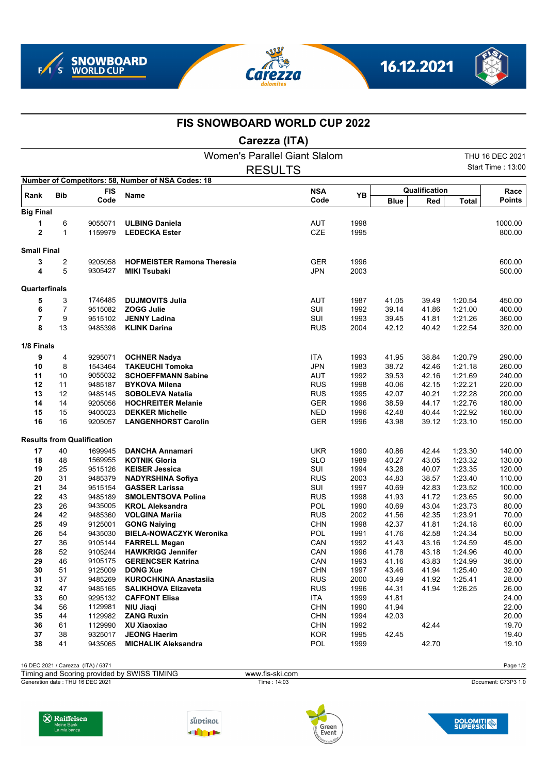







## **FIS SNOWBOARD WORLD CUP 2022**

**Carezza (ITA)**

|                    |              |                                   | Women's Parallel Giant Slalom                      |                    |              |                |                |                    | THU 16 DEC 2021          |
|--------------------|--------------|-----------------------------------|----------------------------------------------------|--------------------|--------------|----------------|----------------|--------------------|--------------------------|
|                    |              |                                   |                                                    | <b>RESULTS</b>     |              |                |                |                    | <b>Start Time: 13:00</b> |
|                    |              |                                   | Number of Competitors: 58, Number of NSA Codes: 18 |                    |              |                |                |                    |                          |
| Rank               | <b>Bib</b>   | <b>FIS</b>                        | Name                                               | <b>NSA</b><br>Code | YB           | Qualification  |                |                    | Race                     |
|                    |              | Code                              |                                                    |                    |              | <b>Blue</b>    | Red            | Total              | Points                   |
| <b>Big Final</b>   |              |                                   |                                                    |                    |              |                |                |                    |                          |
| 1                  | 6            | 9055071                           | <b>ULBING Daniela</b>                              | <b>AUT</b>         | 1998         |                |                |                    | 1000.00                  |
| 2                  | $\mathbf{1}$ | 1159979                           | <b>LEDECKA Ester</b>                               | CZE                | 1995         |                |                |                    | 800.00                   |
| <b>Small Final</b> |              |                                   |                                                    |                    |              |                |                |                    |                          |
| 3                  | 2            | 9205058                           | <b>HOFMEISTER Ramona Theresia</b>                  | <b>GER</b>         | 1996         |                |                |                    | 600.00                   |
| 4                  | 5            | 9305427                           | <b>MIKI Tsubaki</b>                                | <b>JPN</b>         | 2003         |                |                |                    | 500.00                   |
| Quarterfinals      |              |                                   |                                                    |                    |              |                |                |                    |                          |
| 5                  | 3            | 1746485                           | <b>DUJMOVITS Julia</b>                             | <b>AUT</b>         | 1987         | 41.05          | 39.49          | 1:20.54            | 450.00                   |
| 6                  | 7            | 9515082                           | <b>ZOGG Julie</b>                                  | SUI                | 1992         | 39.14          | 41.86          | 1:21.00            | 400.00                   |
| 7                  | 9            | 9515102                           | <b>JENNY Ladina</b>                                | SUI                | 1993         | 39.45          | 41.81          | 1.21.26            | 360.00                   |
| 8                  | 13           | 9485398                           | <b>KLINK Darina</b>                                | <b>RUS</b>         | 2004         | 42.12          | 40.42          | 1:22.54            | 320.00                   |
| 1/8 Finals         |              |                                   |                                                    |                    |              |                |                |                    |                          |
| 9                  | 4            | 9295071                           | <b>OCHNER Nadya</b>                                | ITA                | 1993         | 41.95          | 38.84          | 1:20.79            | 290.00                   |
| 10                 | 8            | 1543464                           | <b>TAKEUCHI Tomoka</b>                             | <b>JPN</b>         | 1983         | 38.72          | 42.46          | 1:21.18            | 260.00                   |
| 11                 | 10           | 9055032                           | <b>SCHOEFFMANN Sabine</b>                          | <b>AUT</b>         | 1992         | 39.53          | 42.16          | 1:21.69            | 240.00                   |
| 12                 | 11           | 9485187                           | <b>BYKOVA Milena</b>                               | <b>RUS</b>         | 1998         | 40.06          | 42.15          | 1:22.21            | 220.00                   |
| 13                 | 12           | 9485145                           | <b>SOBOLEVA Natalia</b>                            | <b>RUS</b>         | 1995         | 42.07          | 40.21          | 1:22.28            | 200.00                   |
| 14                 | 14           | 9205056                           | <b>HOCHREITER Melanie</b>                          | <b>GER</b>         | 1996         | 38.59          | 44.17          | 1:22.76            | 180.00                   |
| 15                 | 15           | 9405023                           | <b>DEKKER Michelle</b>                             | <b>NED</b>         | 1996         | 42.48          | 40.44          | 1:22.92            | 160.00                   |
| 16                 | 16           | 9205057                           | <b>LANGENHORST Carolin</b>                         | <b>GER</b>         | 1996         | 43.98          | 39.12          | 1:23.10            | 150.00                   |
|                    |              | <b>Results from Qualification</b> |                                                    |                    |              |                |                |                    |                          |
| 17                 | 40           | 1699945                           | <b>DANCHA Annamari</b>                             | <b>UKR</b>         | 1990         | 40.86          | 42.44          | 1:23.30            | 140.00                   |
| 18                 | 48           | 1569955                           | <b>KOTNIK Gloria</b>                               | <b>SLO</b>         | 1989         | 40.27          | 43.05          | 1:23.32            | 130.00                   |
| 19                 | 25           | 9515126                           | <b>KEISER Jessica</b>                              | SUI                | 1994         | 43.28          | 40.07          | 1:23.35            | 120.00                   |
| 20                 | 31           | 9485379                           | <b>NADYRSHINA Sofiya</b>                           | <b>RUS</b>         | 2003         | 44.83          | 38.57          | 1:23.40            | 110.00                   |
| 21                 | 34           | 9515154                           | <b>GASSER Larissa</b>                              | SUI                | 1997         | 40.69          | 42.83          | 1:23.52            | 100.00                   |
| 22                 | 43           | 9485189                           | <b>SMOLENTSOVA Polina</b>                          | <b>RUS</b>         | 1998         | 41.93          | 41.72          | 1:23.65            | 90.00                    |
| 23                 | 26           | 9435005                           | <b>KROL Aleksandra</b>                             | POL                | 1990         | 40.69          | 43.04          | 1:23.73            | 80.00                    |
| 24                 | 42           | 9485360                           | <b>VOLGINA Marija</b>                              | <b>RUS</b>         | 2002         | 41.56          | 42.35          | 1:23.91            | 70.00                    |
| 25                 | 49           | 9125001                           | <b>GONG Naiying</b>                                | <b>CHN</b>         | 1998         | 42.37          | 41.81          | 1:24.18            | 60.00                    |
| 26                 | 54           | 9435030                           | <b>BIELA-NOWACZYK Weronika</b>                     | POL                | 1991         | 41.76          | 42.58          | 1:24.34            | 50.00                    |
| 27<br>28           | 36<br>52     | 9105144                           | <b>FARRELL Megan</b>                               | CAN                | 1992         | 41.43          | 43.16          | 1:24.59            | 45.00                    |
| 29                 | 46           | 9105244                           | <b>HAWKRIGG Jennifer</b>                           | CAN                | 1996         | 41.78<br>41.16 | 43.18          | 1:24.96            | 40.00                    |
| 30                 | 51           | 9105175<br>9125009                | <b>GERENCSER Katrina</b><br><b>DONG Xue</b>        | CAN<br><b>CHN</b>  | 1993<br>1997 | 43.46          | 43.83<br>41.94 | 1:24.99<br>1:25.40 | 36.00<br>32.00           |
| 31                 | 37           | 9485269                           | <b>KUROCHKINA Anastasiia</b>                       | <b>RUS</b>         | 2000         | 43.49          | 41.92          | 1:25.41            | 28.00                    |
| 32                 | 47           | 9485165                           | <b>SALIKHOVA Elizaveta</b>                         | <b>RUS</b>         | 1996         | 44.31          | 41.94          | 1:26.25            | 26.00                    |
| 33                 | 60           | 9295132                           | <b>CAFFONT Elisa</b>                               | ITA                | 1999         | 41.81          |                |                    | 24.00                    |
| 34                 | 56           | 1129981                           | NIU Jiagi                                          | <b>CHN</b>         | 1990         | 41.94          |                |                    | 22.00                    |
| 35                 | 44           | 1129982                           | <b>ZANG Ruxin</b>                                  | <b>CHN</b>         | 1994         | 42.03          |                |                    | 20.00                    |
| 36                 | 61           | 1129990                           | <b>XU Xiaoxiao</b>                                 | <b>CHN</b>         | 1992         |                | 42.44          |                    | 19.70                    |
| 37                 | 38           | 9325017                           | <b>JEONG Haerim</b>                                | <b>KOR</b>         | 1995         | 42.45          |                |                    | 19.40                    |
| 38                 | 41           | 9435065                           | <b>MICHALIK Aleksandra</b>                         | <b>POL</b>         | 1999         |                | 42.70          |                    | 19.10                    |
|                    |              |                                   |                                                    |                    |              |                |                |                    |                          |

16 DEC 2021 / Carezza (ITA) / 6371 Page 1/2

Generation date : THU 16 DEC 2021 Time : 14:03 Document: C73P3 1.0 Timing and Scoring provided by SWISS TIMING www.fis-ski.com







**DOLOMITI**